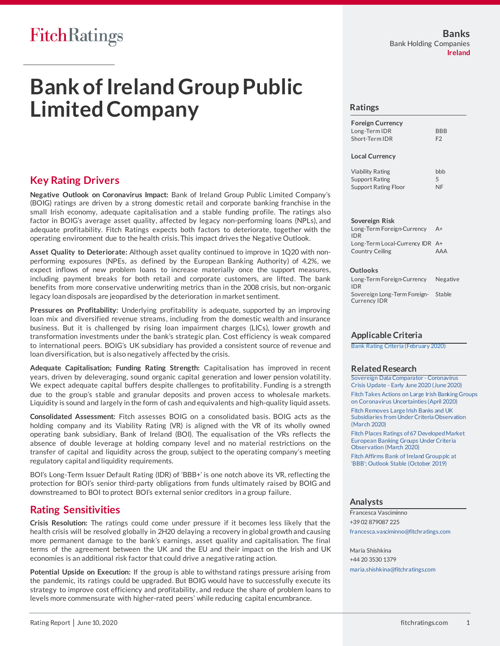# FitchRatings

# **Bank of Ireland Group Public Limited Company**

# **Key Rating Drivers**

**Negative Outlook on Coronavirus Impact:** Bank of Ireland Group Public Limited Company's (BOIG) ratings are driven by a strong domestic retail and corporate banking franchise in the small Irish economy, adequate capitalisation and a stable funding profile. The ratings also factor in BOIG's average asset quality, affected by legacy non-performing loans (NPLs), and adequate profitability. Fitch Ratings expects both factors to deteriorate, together with the operating environment due to the health crisis. This impact drives the Negative Outlook.

**Asset Quality to Deteriorate:** Although asset quality continued to improve in 1Q20 with nonperforming exposures (NPEs, as defined by the European Banking Authority) of 4.2%, we expect inflows of new problem loans to increase materially once the support measures, including payment breaks for both retail and corporate customers, are lifted. The bank benefits from more conservative underwriting metrics than in the 2008 crisis, but non-organic legacy loan disposals are jeopardised by the deterioration in market sentiment.

**Pressures on Profitability:** Underlying profitability is adequate, supported by an improving loan mix and diversified revenue streams, including from the domestic wealth and insurance business. But it is challenged by rising loan impairment charges (LICs), lower growth and transformation investments under the bank's strategic plan. Cost efficiency is weak compared to international peers. BOIG's UK subsidiary has provided a consistent source of revenue and loan diversification, but is also negatively affected by the crisis.

**Adequate Capitalisation; Funding Rating Strength:** Capitalisation has improved in recent years, driven by deleveraging, sound organic capital generation and lower pension volatil ity. We expect adequate capital buffers despite challenges to profitability. Funding is a strength due to the group's stable and granular deposits and proven access to wholesale markets. Liquidity is sound and largely in the form of cash and equivalents and high-quality liquid assets.

**Consolidated Assessment:** Fitch assesses BOIG on a consolidated basis. BOIG acts as the holding company and its Viability Rating (VR) is aligned with the VR of its wholly owned operating bank subsidiary, Bank of Ireland (BOI). The equalisation of the VRs reflects the absence of double leverage at holding company level and no material restrictions on the transfer of capital and liquidity across the group, subject to the operating company's meeting regulatory capital and liquidity requirements.

BOI's Long-Term Issuer Default Rating (IDR) of 'BBB+' is one notch above its VR, reflecting the protection for BOI's senior third-party obligations from funds ultimately raised by BOIG and downstreamed to BOI to protect BOI's external senior creditors in a group failure.

# **Rating Sensitivities**

**Crisis Resolution:** The ratings could come under pressure if it becomes less likely that the health crisis will be resolved globally in 2H20 delaying a recovery in global growth and causing more permanent damage to the bank's earnings, asset quality and capitalisation. The final terms of the agreement between the UK and the EU and their impact on the Irish and UK economies is an additional risk factor that could drive a negative rating action.

**Potential Upside on Execution:** If the group is able to withstand ratings pressure arising from the pandemic, its ratings could be upgraded. But BOIG would have to successfully execute its strategy to improve cost efficiency and profitability, and reduce the share of problem loans to levels more commensurate with higher-rated peers' while reducing capital encumbrance.

### **Ratings**

| <b>Foreign Currency</b> |                |
|-------------------------|----------------|
| Long-Term IDR           | <b>BBB</b>     |
| Short-Term IDR          | F <sub>2</sub> |

#### **Local Currency**

| Viability Rating     | bbb       |
|----------------------|-----------|
| Support Rating       | 5         |
| Support Rating Floor | <b>NF</b> |

#### **Sovereign Risk**

Long-Term Foreign-Currency IDR  $A+$ Long-Term Local-Currency IDR A+ Country Ceiling AAA

#### **Outlooks**

Long-Term Foreign-Currency IDR Negative Sovereign Long-Term Foreign-Stable Currency IDR

#### **Applicable Criteria**

[Bank Rating Criteria \(February 2020\)](https://app.fitchconnect.com/search/research/article/RPT_10110041)

#### **Related Research**

[Sovereign Data Comparator -](https://app.fitchconnect.com/search/research/article/RPT_10124420) Coronavirus Crisis Update - [Early June 2020 \(June 2020\)](https://app.fitchconnect.com/search/research/article/RPT_10124420) [Fitch Takes Actions on Large Irish Banking Groups](https://app.fitchconnect.com/search/research/article/PR_10116341) 

[on Coronavirus Uncertainties](https://app.fitchconnect.com/search/research/article/PR_10116341) (April 2020) [Fitch Removes Large Irish Banks and UK](https://app.fitchconnect.com/search/research/article/PR_10114474) 

[Subsidiaries from Under Criteria Observation](https://app.fitchconnect.com/search/research/article/PR_10114474)  [\(March 2020\)](https://app.fitchconnect.com/search/research/article/PR_10114474)

[Fitch Places Ratings of 67 Developed Market](https://app.fitchconnect.com/search/research/article/PR_10112989)  [European Banking Groups Under Criteria](https://app.fitchconnect.com/search/research/article/PR_10112989)  [Observation \(March 2020\)](https://app.fitchconnect.com/search/research/article/PR_10112989)

[Fitch Affirms Bank of Ireland Group plc at](https://app.fitchconnect.com/search/research/article/PR_10099990)  ['BBB'; Outlook Stable \(October 2019\)](https://app.fitchconnect.com/search/research/article/PR_10099990)

#### **Analysts**

Francesca Vasciminno +39 02 879087 225 [francesca.vasciminno@fitchratings.com](mailto:francesca.vasciminno@fitchratings.com)

Maria Shishkina +44 20 3530 1379 [maria.shishkina@fitchratings.com](mailto:maria.shishkina@fitchratings.com)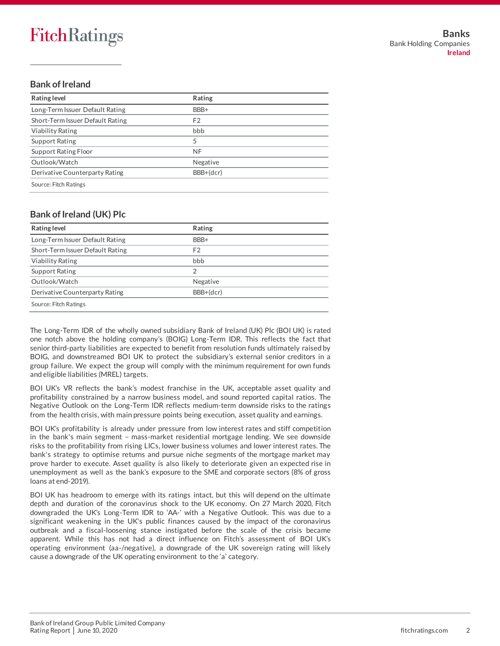## **Bank of Ireland**

| Rating level                     | Rating    |
|----------------------------------|-----------|
| Long-Term Issuer Default Rating  | BBB+      |
| Short-Term Issuer Default Rating | F2        |
| <b>Viability Rating</b>          | bbb       |
| <b>Support Rating</b>            | 5         |
| Support Rating Floor             | <b>NF</b> |
| Outlook/Watch                    | Negative  |
| Derivative Counterparty Rating   | BBB+(dcr) |
| Source: Fitch Ratings            |           |

## **Bank of Ireland (UK) Plc**

| Rating level                     | Rating         |  |
|----------------------------------|----------------|--|
| Long-Term Issuer Default Rating  | BBB+           |  |
| Short-Term Issuer Default Rating | F <sub>2</sub> |  |
| <b>Viability Rating</b>          | bbb            |  |
| <b>Support Rating</b>            | 2              |  |
| Outlook/Watch                    | Negative       |  |
| Derivative Counterparty Rating   | BBB+(dcr)      |  |
| Source: Fitch Ratings            |                |  |

The Long-Term IDR of the wholly owned subsidiary Bank of Ireland (UK) Plc (BOI UK) is rated one notch above the holding company's (BOIG) Long-Term IDR. This reflects the fact that senior third-party liabilities are expected to benefit from resolution funds ultimately raised by BOIG, and downstreamed BOI UK to protect the subsidiary's external senior creditors in a group failure. We expect the group will comply with the minimum requirement for own funds and eligible liabilities (MREL) targets.

BOI UK's VR reflects the bank's modest franchise in the UK, acceptable asset quality and profitability constrained by a narrow business model, and sound reported capital ratios. The Negative Outlook on the Long-Term IDR reflects medium-term downside risks to the ratings from the health crisis, with main pressure points being execution, asset quality and earnings.

BOI UK's profitability is already under pressure from low interest rates and stiff competition in the bank's main segment – mass-market residential mortgage lending. We see downside risks to the profitability from rising LICs, lower business volumes and lower interest rates. The bank's strategy to optimise returns and pursue niche segments of the mortgage market may prove harder to execute. Asset quality is also likely to deteriorate given an expected rise in unemployment as well as the bank's exposure to the SME and corporate sectors (8% of gross loans at end-2019).

BOI UK has headroom to emerge with its ratings intact, but this will depend on the ultimate depth and duration of the coronavirus shock to the UK economy. On 27 March 2020, Fitch downgraded the UK's Long-Term IDR to 'AA-' with a Negative Outlook. This was due to a significant weakening in the UK's public finances caused by the impact of the coronavirus outbreak and a fiscal-loosening stance instigated before the scale of the crisis became apparent. While this has not had a direct influence on Fitch's assessment of BOI UK's operating environment (aa-/negative), a downgrade of the UK sovereign rating will likely cause a downgrade of the UK operating environment to the 'a' category.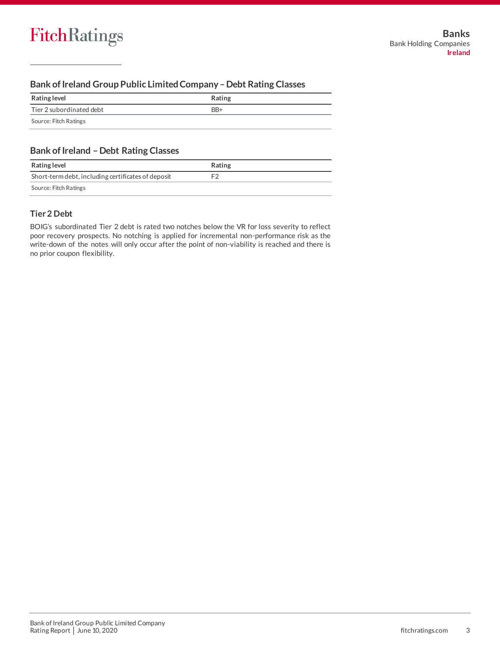## **Bank of Ireland Group Public Limited Company –Debt Rating Classes**

| Rating level             | Rating |
|--------------------------|--------|
| Tier 2 subordinated debt | $BB+$  |
| Source: Fitch Ratings    |        |

## **Bank of Ireland –Debt Rating Classes**

| Rating level                                       | Rating |
|----------------------------------------------------|--------|
| Short-term debt, including certificates of deposit |        |
| Source: Fitch Ratings                              |        |

## **Tier 2 Debt**

BOIG's subordinated Tier 2 debt is rated two notches below the VR for loss severity to reflect poor recovery prospects. No notching is applied for incremental non-performance risk as the write-down of the notes will only occur after the point of non-viability is reached and there is no prior coupon flexibility.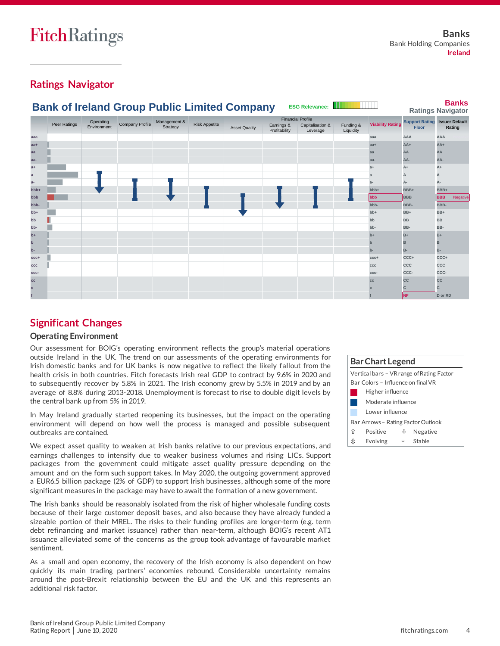# **Ratings Navigator**



# **Significant Changes**

## **Operating Environment**

Our assessment for BOIG's operating environment reflects the group's material operations outside Ireland in the UK. The trend on our assessments of the operating environments for Irish domestic banks and for UK banks is now negative to reflect the likely fallout from the health crisis in both countries. Fitch forecasts Irish real GDP to contract by 9.6% in 2020 and to subsequently recover by 5.8% in 2021. The Irish economy grew by 5.5% in 2019 and by an average of 8.8% during 2013-2018. Unemployment is forecast to rise to double digit levels by the central bank up from 5% in 2019.

In May Ireland gradually started reopening its businesses, but the impact on the operating environment will depend on how well the process is managed and possible subsequent outbreaks are contained.

We expect asset quality to weaken at Irish banks relative to our previous expectations, and earnings challenges to intensify due to weaker business volumes and rising LICs. Support packages from the government could mitigate asset quality pressure depending on the amount and on the form such support takes. In May 2020, the outgoing government approved a EUR6.5 billion package (2% of GDP) to support Irish businesses, although some of the more significant measures in the package may have to await the formation of a new government.

The Irish banks should be reasonably isolated from the risk of higher wholesale funding costs because of their large customer deposit bases, and also because they have already funded a sizeable portion of their MREL. The risks to their funding profiles are longer-term (e.g. term debt refinancing and market issuance) rather than near-term, although BOIG's recent AT1 issuance alleviated some of the concerns as the group took advantage of favourable market sentiment.

As a small and open economy, the recovery of the Irish economy is also dependent on how quickly its main trading partners' economies rebound. Considerable uncertainty remains around the post-Brexit relationship between the EU and the UK and this represents an

| <b>Bar Chart Legend</b> |                                    |   |                                           |  |  |  |
|-------------------------|------------------------------------|---|-------------------------------------------|--|--|--|
|                         |                                    |   | Vertical bars – VR range of Rating Factor |  |  |  |
|                         | Bar Colors - Influence on final VR |   |                                           |  |  |  |
|                         | Higher influence                   |   |                                           |  |  |  |
|                         | Moderate influence                 |   |                                           |  |  |  |
|                         | Lower influence                    |   |                                           |  |  |  |
|                         | Bar Arrows - Rating Factor Outlook |   |                                           |  |  |  |
| ⇑                       | Positive                           | ⇩ | Negative                                  |  |  |  |
| ſτ                      | Evolving                           | ▭ | Stable                                    |  |  |  |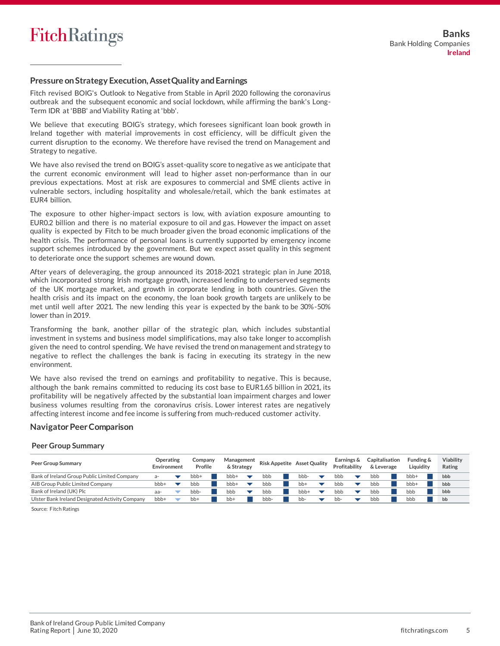### **Pressure on Strategy Execution, Asset Quality and Earnings**

Fitch revised BOIG's Outlook to Negative from Stable in April 2020 following the coronavirus outbreak and the subsequent economic and social lockdown, while affirming the bank's Long-Term IDR at 'BBB' and Viability Rating at 'bbb'.

We believe that executing BOIG's strategy, which foresees significant loan book growth in Ireland together with material improvements in cost efficiency, will be difficult given the current disruption to the economy. We therefore have revised the trend on Management and Strategy to negative.

We have also revised the trend on BOIG's asset-quality score to negative as we anticipate that the current economic environment will lead to higher asset non-performance than in our previous expectations. Most at risk are exposures to commercial and SME clients active in vulnerable sectors, including hospitality and wholesale/retail, which the bank estimates at EUR4 billion.

The exposure to other higher-impact sectors is low, with aviation exposure amounting to EUR0.2 billion and there is no material exposure to oil and gas. However the impact on asset quality is expected by Fitch to be much broader given the broad economic implications of the health crisis. The performance of personal loans is currently supported by emergency income support schemes introduced by the government. But we expect asset quality in this segment to deteriorate once the support schemes are wound down.

After years of deleveraging, the group announced its 2018-2021 strategic plan in June 2018, which incorporated strong Irish mortgage growth, increased lending to underserved segments of the UK mortgage market, and growth in corporate lending in both countries. Given the health crisis and its impact on the economy, the loan book growth targets are unlikely to be met until well after 2021. The new lending this year is expected by the bank to be 30%-50% lower than in 2019.

Transforming the bank, another pillar of the strategic plan, which includes substantial investment in systems and business model simplifications, may also take longer to accomplish given the need to control spending. We have revised the trend on management and strategy to negative to reflect the challenges the bank is facing in executing its strategy in the new environment.

We have also revised the trend on earnings and profitability to negative. This is because, although the bank remains committed to reducing its cost base to EUR1.65 billion in 2021, its profitability will be negatively affected by the substantial loan impairment charges and lower business volumes resulting from the coronavirus crisis. Lower interest rates are negatively affecting interest income and fee income is suffering from much-reduced customer activity.

#### **Navigator Peer Comparison**

#### **Peer Group Summary**

| <b>Peer Group Summary</b>                       | Operating<br>Environment | Company<br>Profile | Management<br>& Strategy |      | <b>Risk Appetite Asset Quality</b> | Earnings &<br>Profitability | Capitalisation<br>& Leverage | Funding &<br>Liauidity | Viability<br>Rating |
|-------------------------------------------------|--------------------------|--------------------|--------------------------|------|------------------------------------|-----------------------------|------------------------------|------------------------|---------------------|
| Bank of Ireland Group Public Limited Company    |                          | bbb+               | bbb+                     | bbb  | bbb-                               | bbb                         | bbb                          | bbb+                   | bbb                 |
| AIB Group Public Limited Company                | $bbb +$                  | bbb                | bbb+                     | bbb  | bb+                                | bbb                         | bbb                          | $bbb +$                | bbb                 |
| Bank of Ireland (UK) Plc                        | aa-                      | bbb-               | bbb                      | bbb  | bbb+                               | bbb                         | bbb                          | bbb                    | bbb                 |
| Ulster Bank Ireland Designated Activity Company | bbb+                     | $bb+$              | bb+                      | bbb- | bb-                                | bb-                         | bbb                          | bbb                    | bb                  |

Source: Fitch Ratings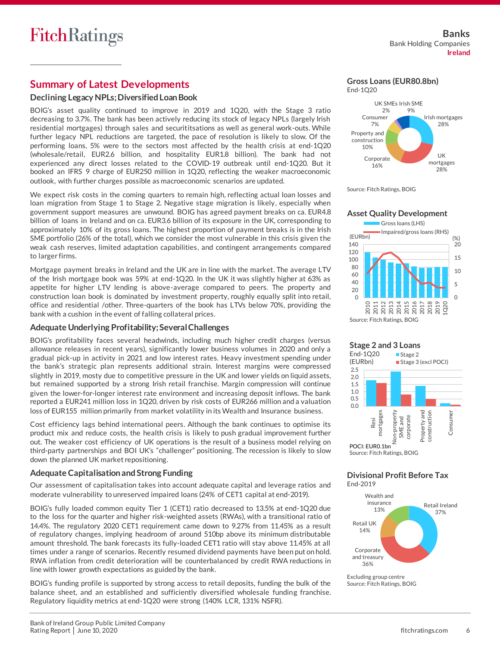# **Summary of Latest Developments**

## **Declining Legacy NPLs; Diversified Loan Book**

BOIG's asset quality continued to improve in 2019 and 1Q20, with the Stage 3 ratio decreasing to 3.7%. The bank has been actively reducing its stock of legacy NPLs (largely Irish residential mortgages) through sales and securititsations as well as general work-outs. While further legacy NPL reductions are targeted, the pace of resolution is likely to slow. Of the performing loans, 5% were to the sectors most affected by the health crisis at end-1Q20 (wholesale/retail, EUR2.6 billion, and hospitality EUR1.8 billion). The bank had not experienced any direct losses related to the COVID-19 outbreak until end-1Q20. But it booked an IFRS 9 charge of EUR250 million in 1Q20, reflecting the weaker macroeconomic outlook, with further charges possible as macroeconomic scenarios are updated.

We expect risk costs in the coming quarters to remain high, reflecting actual loan losses and loan migration from Stage 1 to Stage 2. Negative stage migration is likely, especially when government support measures are unwound. BOIG has agreed payment breaks on ca. EUR4.8 billion of loans in Ireland and on ca. EUR3.6 billion of its exposure in the UK, corresponding to approximately 10% of its gross loans. The highest proportion of payment breaks is in the Irish SME portfolio (26% of the total), which we consider the most vulnerable in this crisis given the weak cash reserves, limited adaptation capabilities, and contingent arrangements compared to larger firms.

Mortgage payment breaks in Ireland and the UK are in line with the market. The average LTV of the Irish mortgage book was 59% at end-1Q20. In the UK it was slightly higher at 63% as appetite for higher LTV lending is above-average compared to peers. The property and construction loan book is dominated by investment property, roughly equally split into retail, office and residential /other. Three-quarters of the book has LTVs below 70%, providing the bank with a cushion in the event of falling collateral prices.

#### **Adequate Underlying Profitability; Several Challenges**

BOIG's profitability faces several headwinds, including much higher credit charges (versus allowance releases in recent years), significantly lower business volumes in 2020 and only a gradual pick-up in activity in 2021 and low interest rates. Heavy investment spending under the bank's strategic plan represents additional strain. Interest margins were compressed slightly in 2019, mosty due to competitive pressure in the UK and lower yields on liquid assets, but remained supported by a strong Irish retail franchise. Margin compression will continue given the lower-for-longer interest rate environment and increasing deposit inflows. The bank reported a EUR241 million loss in 1Q20, driven by risk costs of EUR266 million and a valuation loss of EUR155 million primarily from market volatility in its Wealth and Insurance business.

Cost efficiency lags behind international peers. Although the bank continues to optimise its product mix and reduce costs, the health crisis is likely to push gradual improvement further out. The weaker cost efficiency of UK operations is the result of a business model relying on third-party partnerships and BOI UK's "challenger" positioning. The recession is likely to slow down the planned UK market repositioning.

## **Adequate Capitalisation and Strong Funding**

Our assessment of capitalisation takes into account adequate capital and leverage ratios and moderate vulnerability to unreserved impaired loans (24% of CET1 capital at end-2019).

BOIG's fully loaded common equity Tier 1 (CET1) ratio decreased to 13.5% at end-1Q20 due to the loss for the quarter and higher risk-weighted assets (RWAs), with a transitional ratio of 14.4%. The regulatory 2020 CET1 requirement came down to 9.27% from 11.45% as a result of regulatory changes, implying headroom of around 510bp above its minimum distributable amount threshold. The bank forecasts its fully-loaded CET1 ratio will stay above 11.45% at all times under a range of scenarios. Recently resumed dividend payments have been put on hold. RWA inflation from credit deterioration will be counterbalanced by credit RWA reductions in line with lower growth expectations as guided by the bank.

BOIG's funding profile is supported by strong access to retail deposits, funding the bulk of the balance sheet, and an established and sufficiently diversified wholesale funding franchise. Regulatory liquidity metrics at end-1Q20 were strong (140% LCR, 131% NSFR).



**Gross Loans (EUR80.8bn)**







#### **Divisional Profit Before Tax** End-2019



Excluding group centre Source: Fitch Ratings, BOIG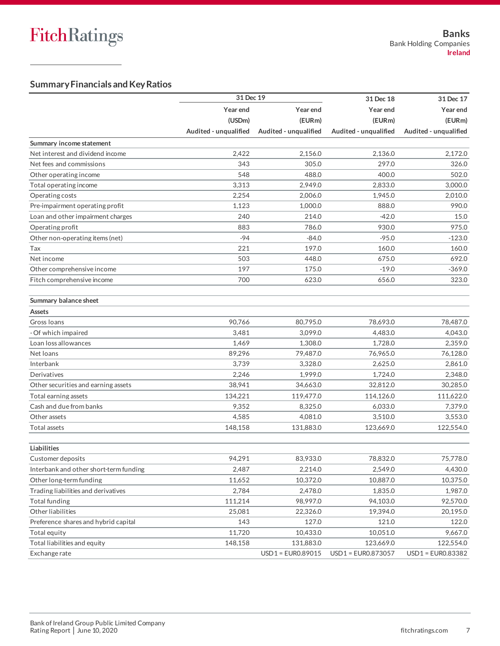## **Summary Financials and Key Ratios**

|                                        | 31 Dec 19             |                       | 31 Dec 18             | 31 Dec 17             |
|----------------------------------------|-----------------------|-----------------------|-----------------------|-----------------------|
|                                        | Year end              | Year end              | Year end              | Year end              |
|                                        | (USDm)                | (EURm)                | (EURm)                | (EURm)                |
|                                        | Audited - unqualified | Audited - unqualified | Audited - unqualified | Audited - unqualified |
| Summary income statement               |                       |                       |                       |                       |
| Net interest and dividend income       | 2,422                 | 2,156.0               | 2,136.0               | 2.172.0               |
| Net fees and commissions               | 343                   | 305.0                 | 297.0                 | 326.0                 |
| Other operating income                 | 548                   | 488.0                 | 400.0                 | 502.0                 |
| Total operating income                 | 3,313                 | 2,949.0               | 2,833.0               | 3,000.0               |
| Operating costs                        | 2,254                 | 2,006.0               | 1,945.0               | 2,010.0               |
| Pre-impairment operating profit        | 1,123                 | 1.000.0               | 888.0                 | 990.0                 |
| Loan and other impairment charges      | 240                   | 214.0                 | $-42.0$               | 15.0                  |
| Operating profit                       | 883                   | 786.0                 | 930.0                 | 975.0                 |
| Other non-operating items (net)        | $-94$                 | $-84.0$               | $-95.0$               | -123.0                |
| Tax                                    | 221                   | 197.0                 | 160.0                 | 160.0                 |
| Net income                             | 503                   | 448.0                 | 675.0                 | 692.0                 |
| Other comprehensive income             | 197                   | 175.0                 | $-19.0$               | $-369.0$              |
| Fitch comprehensive income             | 700                   | 623.0                 | 656.0                 | 323.0                 |
| Summary balance sheet                  |                       |                       |                       |                       |
| Assets                                 |                       |                       |                       |                       |
| Gross Ioans                            | 90,766                | 80.795.0              | 78,693.0              | 78,487.0              |
| - Of which impaired                    | 3,481                 | 3,099.0               | 4,483.0               | 4,043.0               |
| Loan loss allowances                   | 1,469                 | 1,308.0               | 1,728.0               | 2,359.0               |
| Net loans                              | 89,296                | 79,487.0              | 76,965.0              | 76,128.0              |
| Interbank                              | 3,739                 | 3,328.0               | 2,625.0               | 2,861.0               |
| Derivatives                            | 2,246                 | 1,999.0               | 1,724.0               | 2,348.0               |
| Other securities and earning assets    | 38,941                | 34,663.0              | 32,812.0              | 30,285.0              |
| Total earning assets                   | 134,221               | 119,477.0             | 114,126.0             | 111,622.0             |
| Cash and due from banks                | 9,352                 | 8,325.0               | 6,033.0               | 7,379.0               |
| Other assets                           | 4,585                 | 4,081.0               | 3,510.0               | 3,553.0               |
| <b>Total assets</b>                    | 148,158               | 131,883.0             | 123,669.0             | 122,554.0             |
| Liabilities                            |                       |                       |                       |                       |
| Customer deposits                      | 94,291                | 83,933.0              | 78,832.0              | 75,778.0              |
| Interbank and other short-term funding | 2,487                 | 2,214.0               | 2,549.0               | 4,430.0               |
| Other long-term funding                | 11,652                | 10,372.0              | 10,887.0              | 10,375.0              |
| Trading liabilities and derivatives    | 2,784                 | 2,478.0               | 1,835.0               | 1,987.0               |
| Total funding                          | 111,214               | 98,997.0              | 94,103.0              | 92,570.0              |
| Other liabilities                      | 25,081                | 22,326.0              | 19,394.0              | 20,195.0              |
| Preference shares and hybrid capital   | 143                   | 127.0                 | 121.0                 | 122.0                 |
| Total equity                           | 11,720                | 10,433.0              | 10,051.0              | 9,667.0               |
| Total liabilities and equity           | 148,158               | 131,883.0             | 123,669.0             | 122,554.0             |
| Exchange rate                          |                       | USD1 = EUR0.89015     | USD1 = EUR0.873057    | USD1 = EUR0.83382     |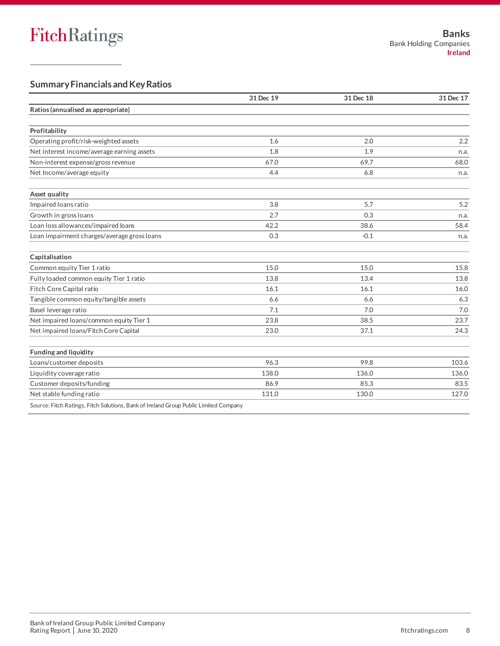## **Summary Financials and Key Ratios**

|                                                                                      | 31 Dec 19 | 31 Dec 18 | 31 Dec 17 |
|--------------------------------------------------------------------------------------|-----------|-----------|-----------|
| Ratios (annualised as appropriate)                                                   |           |           |           |
|                                                                                      |           |           |           |
| Profitability                                                                        |           |           |           |
| Operating profit/risk-weighted assets                                                | 1.6       | 2.0       | 2.2       |
| Net interest income/average earning assets                                           | 1.8       | 1.9       | n.a.      |
| Non-interest expense/gross revenue                                                   | 67.0      | 69.7      | 68.0      |
| Net Income/average equity                                                            | 4.4       | 6.8       | n.a.      |
| Asset quality                                                                        |           |           |           |
| Impaired loans ratio                                                                 | 3.8       | 5.7       | 5.2       |
| Growth in gross loans                                                                | 2.7       | 0.3       | n.a.      |
| Loan loss allowances/impaired loans                                                  | 42.2      | 38.6      | 58.4      |
| Loan impairment charges/average gross loans                                          | 0.3       | $-0.1$    | n.a.      |
| Capitalisation                                                                       |           |           |           |
| Common equity Tier 1 ratio                                                           | 15.0      | 15.0      | 15.8      |
| Fully loaded common equity Tier 1 ratio                                              | 13.8      | 13.4      | 13.8      |
| Fitch Core Capital ratio                                                             | 16.1      | 16.1      | 16.0      |
| Tangible common equity/tangible assets                                               | 6.6       | 6.6       | 6.3       |
| Basel leverage ratio                                                                 | 7.1       | 7.0       | 7.0       |
| Net impaired loans/common equity Tier 1                                              | 23.8      | 38.5      | 23.7      |
| Net impaired loans/Fitch Core Capital                                                | 23.0      | 37.1      | 24.3      |
| <b>Funding and liquidity</b>                                                         |           |           |           |
| Loans/customer deposits                                                              | 96.3      | 99.8      | 103.6     |
| Liquidity coverage ratio                                                             | 138.0     | 136.0     | 136.0     |
| Customer deposits/funding                                                            | 86.9      | 85.3      | 83.5      |
| Net stable funding ratio                                                             | 131.0     | 130.0     | 127.0     |
| Source: Fitch Ratings, Fitch Solutions, Bank of Ireland Group Public Limited Company |           |           |           |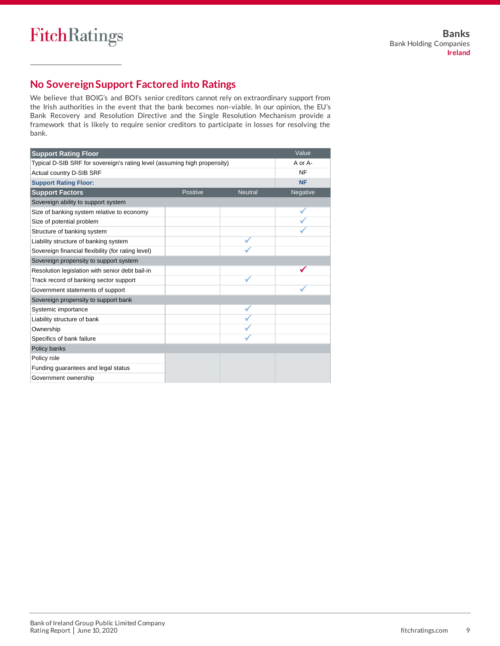# **No SovereignSupport Factored into Ratings**

We believe that BOIG's and BOI's senior creditors cannot rely on extraordinary support from the Irish authorities in the event that the bank becomes non-viable. In our opinion, the EU's Bank Recovery and Resolution Directive and the Single Resolution Mechanism provide a framework that is likely to require senior creditors to participate in losses for resolving the bank.

| <b>Support Rating Floor</b>                                               |          |                | Value     |
|---------------------------------------------------------------------------|----------|----------------|-----------|
| Typical D-SIB SRF for sovereign's rating level (assuming high propensity) |          |                | A or A-   |
| Actual country D-SIB SRF                                                  |          |                | <b>NF</b> |
| <b>Support Rating Floor:</b>                                              |          |                | <b>NF</b> |
| <b>Support Factors</b>                                                    | Positive | <b>Neutral</b> | Negative  |
| Sovereign ability to support system                                       |          |                |           |
| Size of banking system relative to economy                                |          |                |           |
| Size of potential problem                                                 |          |                |           |
| Structure of banking system                                               |          |                |           |
| Liability structure of banking system                                     |          |                |           |
| Sovereign financial flexibility (for rating level)                        |          |                |           |
| Sovereign propensity to support system                                    |          |                |           |
| Resolution legislation with senior debt bail-in                           |          |                |           |
| Track record of banking sector support                                    |          |                |           |
| Government statements of support                                          |          |                |           |
| Sovereign propensity to support bank                                      |          |                |           |
| Systemic importance                                                       |          |                |           |
| Liability structure of bank                                               |          |                |           |
| Ownership                                                                 |          |                |           |
| Specifics of bank failure                                                 |          |                |           |
| Policy banks                                                              |          |                |           |
| Policy role                                                               |          |                |           |
| Funding guarantees and legal status                                       |          |                |           |
| Government ownership                                                      |          |                |           |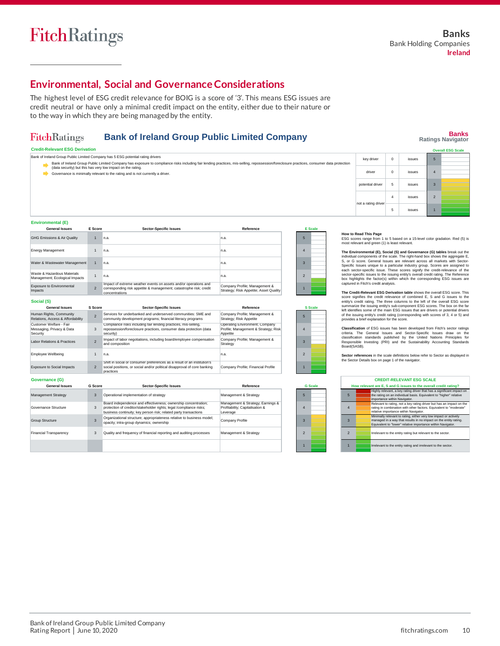# **Environmental, Social and Governance Considerations**

The highest level of ESG credit relevance for BOIG is a score of '3'. This means ESG issues are credit neutral or have only a minimal credit impact on the entity, either due to their nature or to the way in which they are being managed by the entity.

#### **FitchRatings Bank of Ireland Group Public Limited Company**

**Banks Ratings Navigator**

| <b>Credit-Relevant ESG Derivation</b>                                                                                                                                                                                                                    |                     |     |        | <b>Overall ESG Scale</b> |
|----------------------------------------------------------------------------------------------------------------------------------------------------------------------------------------------------------------------------------------------------------|---------------------|-----|--------|--------------------------|
| Bank of Ireland Group Public Limited Company has 5 ESG potential rating drivers                                                                                                                                                                          | key driver          |     | issues |                          |
| Bank of Ireland Group Public Limited Company has exposure to compliance risks including fair lending practices, mis-selling, repossession/foreclosure practices, consumer data protection<br>(data security) but this has very low impact on the rating. |                     |     |        |                          |
| Governance is minimally relevant to the rating and is not currently a driver.                                                                                                                                                                            | driver              |     | issues |                          |
|                                                                                                                                                                                                                                                          | potential driver    |     | issues |                          |
|                                                                                                                                                                                                                                                          | not a rating driver | 4   | issues |                          |
|                                                                                                                                                                                                                                                          |                     | -23 | issues |                          |
| <b>Providence and a series of APA</b>                                                                                                                                                                                                                    |                     |     |        |                          |

**Environmental (E)**

**Social (S)**

| <b>General Issues</b>                                         | E Score        | <b>Sector-Specific Issues</b>                                                                                                                            | Reference                                                               |   | <b>E</b> Scale |
|---------------------------------------------------------------|----------------|----------------------------------------------------------------------------------------------------------------------------------------------------------|-------------------------------------------------------------------------|---|----------------|
| <b>GHG Emissions &amp; Air Quality</b>                        |                | n.a.                                                                                                                                                     | In.a.                                                                   |   |                |
| <b>Energy Management</b>                                      |                | n.a.                                                                                                                                                     | In.a.                                                                   |   |                |
| Water & Wastewater Management                                 |                | n.a.                                                                                                                                                     | In.a.                                                                   | 3 |                |
| Waste & Hazardous Materials<br>Management; Ecological Impacts |                | n.a.                                                                                                                                                     | In.a.                                                                   |   |                |
| Exposure to Environmental<br>Impacts                          | $\overline{2}$ | Impact of extreme weather events on assets and/or operations and<br>corresponding risk appetite & management; catastrophe risk; credit<br>concentrations | Company Profile; Management &<br>Strategy; Risk Appetite; Asset Quality |   |                |

| וטושט                                                            |                          |                                                                                                                                                                  |                                                                                    |  |  |                |
|------------------------------------------------------------------|--------------------------|------------------------------------------------------------------------------------------------------------------------------------------------------------------|------------------------------------------------------------------------------------|--|--|----------------|
| <b>General Issues</b>                                            | S Score                  | <b>Sector-Specific Issues</b>                                                                                                                                    | Reference                                                                          |  |  | <b>S</b> Scale |
| Human Rights, Community<br>Relations, Access & Affordability     | $\overline{\phantom{0}}$ | Services for underbanked and underserved communities: SME and<br>community development programs; financial literacy programs                                     | Company Profile; Management &<br>Strategy; Risk Appetite                           |  |  |                |
| Customer Welfare - Fair<br>Messaging, Privacy & Data<br>Security | 3                        | Compliance risks including fair lending practices, mis-selling,<br>repossession/foreclosure practices, consumer data protection (data<br>security)               | Operating Environment; Company<br>Profile: Management & Strategy: Risk<br>Appetite |  |  |                |
| Labor Relations & Practices                                      |                          | Impact of labor negotiations, including board/employee compensation<br>and composition                                                                           | Company Profile; Management &<br>Strategy                                          |  |  |                |
| <b>Employee Wellbeing</b>                                        |                          | n.a.                                                                                                                                                             | n.a.                                                                               |  |  |                |
| <b>Exposure to Social Impacts</b>                                | $\mathcal{P}$            | Shift in social or consumer preferences as a result of an institution's<br>social positions, or social and/or political disapproval of core banking<br>practices | Company Profile: Financial Profile                                                 |  |  |                |

| <b>General Issues</b>         | G Score | <b>Sector-Specific Issues</b>                                                                                                                                                                             | Reference                                                                        |
|-------------------------------|---------|-----------------------------------------------------------------------------------------------------------------------------------------------------------------------------------------------------------|----------------------------------------------------------------------------------|
| <b>Management Strategy</b>    | 3       | Operational implementation of strategy                                                                                                                                                                    | Management & Strategy                                                            |
| Governance Structure          | 3       | Board independence and effectiveness; ownership concentration;<br>protection of creditor/stakeholder rights; legal /compliance risks;<br>business continuity: key person risk: related party transactions | Management & Strategy; Earnings &<br>Profitability; Capitalisation &<br>Leverage |
| <b>Group Structure</b>        | 3       | Organizational structure; appropriateness relative to business model;<br>opacity; intra-group dynamics; ownership                                                                                         | Company Profile                                                                  |
| <b>Financial Transparency</b> | 3       | Quality and frequency of financial reporting and auditing processes                                                                                                                                       | Management & Strategy                                                            |
|                               |         |                                                                                                                                                                                                           |                                                                                  |

|                | <b>S</b> Scale |
|----------------|----------------|
| 5              |                |
| 4              |                |
| 3              |                |
| $\overline{c}$ |                |
|                |                |

**G Scale**

# individual components of the scale. The right-hand box shows the aggregate E,<br>S, or G score. General Issues are relevant across all markets with Sector-<br>Specific Issues unique to a particular industry group. Scores are ass each sector-specific issue. These scores signify the credit-relevance of the<br>sector-specific issues to the issuing entity's overall credit rating. The Reference<br>box highlights the factor(s) within which the corresponding E captured in Fitch's credit analysis.

The Credit-Relevant ESG Derivation table shows the overall ESG score. This Credit-Relevant Escore Signifies the credit relevance of combined E, S and G issues to the entity's credit rating. The three columns to the left of Classification of ESG issues has been developed from Fitch's sector ratings<br>criteria. The General Issues and Sector-Specific Issues draw on the<br>classification standards published by the United Nations Priniciples for<br>Respo **Sector references** in the scale definitions below refer to Sector as displayed in the Sector Details box on page 1 of the navigator.

| <b>CREDIT-RELEVANT ESG SCALE</b>                                 |  |                                                                                                                                                                                                     |  |  |
|------------------------------------------------------------------|--|-----------------------------------------------------------------------------------------------------------------------------------------------------------------------------------------------------|--|--|
| How relevant are E, S and G issues to the overall credit rating? |  |                                                                                                                                                                                                     |  |  |
| 5                                                                |  | Highly relevant, a key rating driver that has a significant impact on<br>the rating on an individual basis. Equivalent to "higher" relative<br>importance within Navigator.                         |  |  |
| 4                                                                |  | Relevant to rating, not a key rating driver but has an impact on the<br>rating in combination with other factors. Equivalent to "moderate"<br>relative importance within Navigator.                 |  |  |
| $\mathbf{R}$                                                     |  | Minimally relevant to rating, either very low impact or actively<br>managed in a way that results in no impact on the entity rating.<br>Equivalent to "lower" relative importance within Navigator. |  |  |
| $\mathcal{P}$                                                    |  | Irrelevant to the entity rating but relevant to the sector.                                                                                                                                         |  |  |
|                                                                  |  | Irrelevant to the entity rating and irrelevant to the sector.                                                                                                                                       |  |  |

**How to Read This Page**<br>ESG scores range from 1 to 5 based on a 15-level color gradation. Red (5) is<br>most relevant and green (1) is least relevant. **The Environmental (E), Social (S) and Governance (G) tables** break out the

#### Bank of Ireland Group Public Limited Company Rating Report │ June 10, 2020 fitchratings.com 10